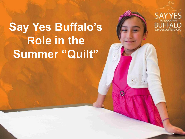# **Say Yes Buffalo's Role in the Summer "Quilt"**



1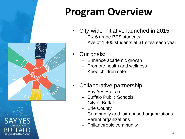# **Program Overview**

- City-wide initiative launched in 2015
	- PK-6 grade BPS students
	- Ave of 1,400 students at 31 sites each year



- Our goals:
	- Enhance academic growth
	- Promote health and wellness
	- Keep children safe
- Collaborative partnership:
	- Say Yes Buffalo
	- Buffalo Public Schools
	- City of Buffalo
	- Erie County
	- Community and faith-based organizations
	- Parent organizations
	- Philanthropic community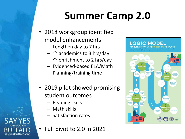# **Summer Camp 2.0**

- 2018 workgroup identified model enhancements
	- Lengthen day to 7 hrs
	- ↑ academics to 3 hrs/day
	- ↑ enrichment to 2 hrs/day
	- Evidenced-based ELA/Math
	- Planning/training time
- 2019 pilot showed promising student outcomes
	- Reading skills
	- Math skills

sayyesbuffalo.org

- Satisfaction rates
- Full pivot to 2.0 in 2021

#### **LOGIC MODEL**

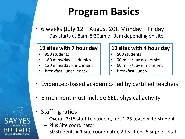# **Program Basics**

- 6 weeks (July 12 August 20), Monday Friday
	- Day starts at 8am, 8:30am or 9am depending on site

#### **19 sites with 7 hour day**

- 950 students
- 180 mins/day academics
- 120 mins/day enrichment
- Breakfast, lunch, snack

#### **13 sites with 4 hour day**

- 500 students
- 90 mins/day academics
- 60 mins/day enrichment
- Breakfast, lunch
- Evidenced-based academics led by certified teachers
- Enrichment must include SEL, physical activity
- **Staffing ratios** 
	- Overall 2:15 staff-to-student, inc. 1:25 teacher-to-student
	- Plus Site coordinator
	- 50 students = 1 site coordinator, 2 teachers, 5 support staff

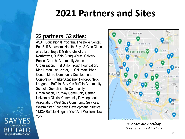### **2021 Partners and Sites**

### **22 partners, 32 sites:**

ASAP Educational Program, The Belle Center, BestSelf Behavioral Health, Boys & Girls Clubs of Buffalo, Boys & Girls Clubs of the Northtowns, Buffalo String Works, Calvary Baptist Church, Community Action Organization, First Shiloh Youth Foundation, King Urban Life Center, Lt. Col. Matt Urban Center, Metro Community Development Corporation, Parker Academy, Police Athletic League of Buffalo, Say Yes Buffalo Community Schools, Somali Bantu Community Organization, Tru Way Community Center, University District Community Development Association, West Side Community Services, Westminster Economic Development Initiative, YMCA Buffalo Niagara, YWCA of Western New York

sayyesbuffalo.org



*Blue sites are 7 hrs/day Green sites are 4 hrs/day*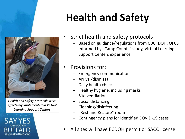*Health and safety protocols were effectively implemented in Virtual Learning Support Centers*



# **Health and Safety**

- Strict health and safety protocols
	- Based on guidance/regulations from CDC, DOH, OFCS
	- Informed by "Camp Counts" study, Virtual Learning Support Centers experience
- Provisions for:
	- Emergency communications
	- Arrival/dismissal
	- Daily health checks
	- Healthy hygiene, including masks
	- Site ventilation
	- Social distancing
	- Cleaning/disinfecting
	- "Rest and Restore" room
	- Contingency plans for identified COVID-19 cases
- All sites will have ECDOH permit or SACC license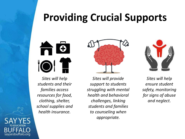### **Providing Crucial Supports**

m  $\bullet$ Ť IO

*Sites will help students and their families access resources for food, clothing, shelter, school supplies and health insurance.*

*Sites will provide support to students struggling with mental health and behavioral challenges, linking students and families to counseling when appropriate.*



*Sites will help ensure student safety, monitoring for signs of abuse and neglect.*

sayyesbuffalo.org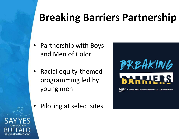# **Breaking Barriers Partnership**

- Partnership with Boys and Men of Color
- Racial equity-themed programming led by young men
	- Piloting at select sites



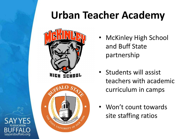# **Urban Teacher Academy**



buffalo.org

- **McKinley High School** and Buff State partnership
- Students will assist teachers with academic curriculum in camps
- Won't count towards site staffing ratios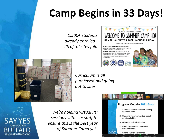# **Camp Begins in 33 Days!**

*1,500+ students already enrolled - 28 of 32 sites full!*





*Curriculum is all purchased and going out to sites*

sayyesbuffalo.org

*We're holding virtual PD sessions with site staff to ensure this is the best year of Summer Camp yet!*